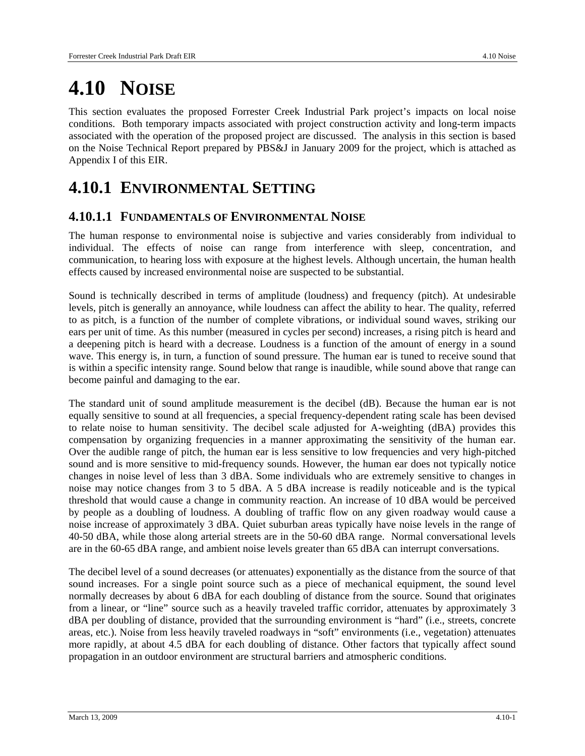# **4.10 NOISE**

This section evaluates the proposed Forrester Creek Industrial Park project's impacts on local noise conditions. Both temporary impacts associated with project construction activity and long-term impacts associated with the operation of the proposed project are discussed. The analysis in this section is based on the Noise Technical Report prepared by PBS&J in January 2009 for the project, which is attached as Appendix I of this EIR.

## **4.10.1 ENVIRONMENTAL SETTING**

## **4.10.1.1 FUNDAMENTALS OF ENVIRONMENTAL NOISE**

The human response to environmental noise is subjective and varies considerably from individual to individual. The effects of noise can range from interference with sleep, concentration, and communication, to hearing loss with exposure at the highest levels. Although uncertain, the human health effects caused by increased environmental noise are suspected to be substantial.

Sound is technically described in terms of amplitude (loudness) and frequency (pitch). At undesirable levels, pitch is generally an annoyance, while loudness can affect the ability to hear. The quality, referred to as pitch, is a function of the number of complete vibrations, or individual sound waves, striking our ears per unit of time. As this number (measured in cycles per second) increases, a rising pitch is heard and a deepening pitch is heard with a decrease. Loudness is a function of the amount of energy in a sound wave. This energy is, in turn, a function of sound pressure. The human ear is tuned to receive sound that is within a specific intensity range. Sound below that range is inaudible, while sound above that range can become painful and damaging to the ear.

The standard unit of sound amplitude measurement is the decibel (dB). Because the human ear is not equally sensitive to sound at all frequencies, a special frequency-dependent rating scale has been devised to relate noise to human sensitivity. The decibel scale adjusted for A-weighting (dBA) provides this compensation by organizing frequencies in a manner approximating the sensitivity of the human ear. Over the audible range of pitch, the human ear is less sensitive to low frequencies and very high-pitched sound and is more sensitive to mid-frequency sounds. However, the human ear does not typically notice changes in noise level of less than 3 dBA. Some individuals who are extremely sensitive to changes in noise may notice changes from 3 to 5 dBA. A 5 dBA increase is readily noticeable and is the typical threshold that would cause a change in community reaction. An increase of 10 dBA would be perceived by people as a doubling of loudness. A doubling of traffic flow on any given roadway would cause a noise increase of approximately 3 dBA. Quiet suburban areas typically have noise levels in the range of 40-50 dBA, while those along arterial streets are in the 50-60 dBA range. Normal conversational levels are in the 60-65 dBA range, and ambient noise levels greater than 65 dBA can interrupt conversations.

The decibel level of a sound decreases (or attenuates) exponentially as the distance from the source of that sound increases. For a single point source such as a piece of mechanical equipment, the sound level normally decreases by about 6 dBA for each doubling of distance from the source. Sound that originates from a linear, or "line" source such as a heavily traveled traffic corridor, attenuates by approximately 3 dBA per doubling of distance, provided that the surrounding environment is "hard" (i.e., streets, concrete areas, etc.). Noise from less heavily traveled roadways in "soft" environments (i.e., vegetation) attenuates more rapidly, at about 4.5 dBA for each doubling of distance. Other factors that typically affect sound propagation in an outdoor environment are structural barriers and atmospheric conditions.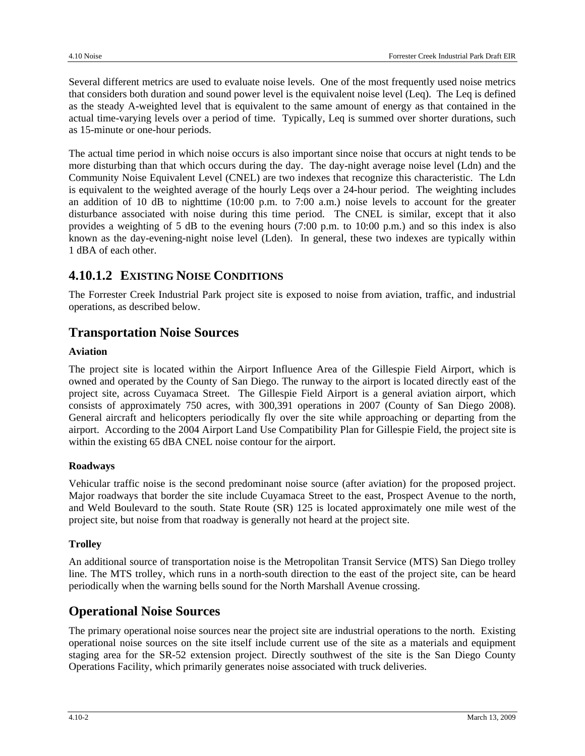Several different metrics are used to evaluate noise levels. One of the most frequently used noise metrics that considers both duration and sound power level is the equivalent noise level (Leq). The Leq is defined as the steady A-weighted level that is equivalent to the same amount of energy as that contained in the actual time-varying levels over a period of time. Typically, Leq is summed over shorter durations, such as 15-minute or one-hour periods.

The actual time period in which noise occurs is also important since noise that occurs at night tends to be more disturbing than that which occurs during the day. The day-night average noise level (Ldn) and the Community Noise Equivalent Level (CNEL) are two indexes that recognize this characteristic. The Ldn is equivalent to the weighted average of the hourly Leqs over a 24-hour period. The weighting includes an addition of 10 dB to nighttime (10:00 p.m. to 7:00 a.m.) noise levels to account for the greater disturbance associated with noise during this time period. The CNEL is similar, except that it also provides a weighting of 5 dB to the evening hours (7:00 p.m. to 10:00 p.m.) and so this index is also known as the day-evening-night noise level (Lden). In general, these two indexes are typically within 1 dBA of each other.

## **4.10.1.2 EXISTING NOISE CONDITIONS**

The Forrester Creek Industrial Park project site is exposed to noise from aviation, traffic, and industrial operations, as described below.

## **Transportation Noise Sources**

#### **Aviation**

The project site is located within the Airport Influence Area of the Gillespie Field Airport, which is owned and operated by the County of San Diego. The runway to the airport is located directly east of the project site, across Cuyamaca Street. The Gillespie Field Airport is a general aviation airport, which consists of approximately 750 acres, with 300,391 operations in 2007 (County of San Diego 2008). General aircraft and helicopters periodically fly over the site while approaching or departing from the airport. According to the 2004 Airport Land Use Compatibility Plan for Gillespie Field, the project site is within the existing 65 dBA CNEL noise contour for the airport.

#### **Roadways**

Vehicular traffic noise is the second predominant noise source (after aviation) for the proposed project. Major roadways that border the site include Cuyamaca Street to the east, Prospect Avenue to the north, and Weld Boulevard to the south. State Route (SR) 125 is located approximately one mile west of the project site, but noise from that roadway is generally not heard at the project site.

#### **Trolley**

An additional source of transportation noise is the Metropolitan Transit Service (MTS) San Diego trolley line. The MTS trolley, which runs in a north-south direction to the east of the project site, can be heard periodically when the warning bells sound for the North Marshall Avenue crossing.

## **Operational Noise Sources**

The primary operational noise sources near the project site are industrial operations to the north. Existing operational noise sources on the site itself include current use of the site as a materials and equipment staging area for the SR-52 extension project. Directly southwest of the site is the San Diego County Operations Facility, which primarily generates noise associated with truck deliveries.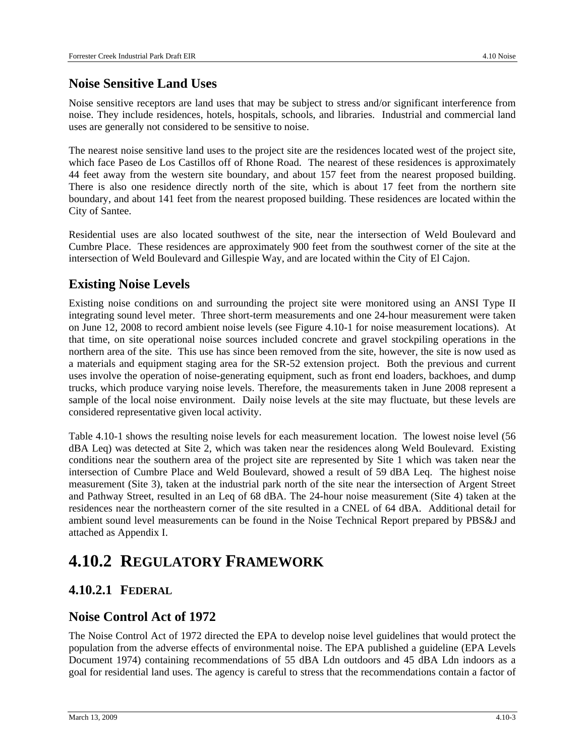## **Noise Sensitive Land Uses**

Noise sensitive receptors are land uses that may be subject to stress and/or significant interference from noise. They include residences, hotels, hospitals, schools, and libraries. Industrial and commercial land uses are generally not considered to be sensitive to noise.

The nearest noise sensitive land uses to the project site are the residences located west of the project site, which face Paseo de Los Castillos off of Rhone Road. The nearest of these residences is approximately 44 feet away from the western site boundary, and about 157 feet from the nearest proposed building. There is also one residence directly north of the site, which is about 17 feet from the northern site boundary, and about 141 feet from the nearest proposed building. These residences are located within the City of Santee.

Residential uses are also located southwest of the site, near the intersection of Weld Boulevard and Cumbre Place. These residences are approximately 900 feet from the southwest corner of the site at the intersection of Weld Boulevard and Gillespie Way, and are located within the City of El Cajon.

## **Existing Noise Levels**

Existing noise conditions on and surrounding the project site were monitored using an ANSI Type II integrating sound level meter. Three short-term measurements and one 24-hour measurement were taken on June 12, 2008 to record ambient noise levels (see Figure 4.10-1 for noise measurement locations). At that time, on site operational noise sources included concrete and gravel stockpiling operations in the northern area of the site. This use has since been removed from the site, however, the site is now used as a materials and equipment staging area for the SR-52 extension project. Both the previous and current uses involve the operation of noise-generating equipment, such as front end loaders, backhoes, and dump trucks, which produce varying noise levels. Therefore, the measurements taken in June 2008 represent a sample of the local noise environment. Daily noise levels at the site may fluctuate, but these levels are considered representative given local activity.

Table 4.10-1 shows the resulting noise levels for each measurement location. The lowest noise level (56 dBA Leq) was detected at Site 2, which was taken near the residences along Weld Boulevard. Existing conditions near the southern area of the project site are represented by Site 1 which was taken near the intersection of Cumbre Place and Weld Boulevard, showed a result of 59 dBA Leq. The highest noise measurement (Site 3), taken at the industrial park north of the site near the intersection of Argent Street and Pathway Street, resulted in an Leq of 68 dBA. The 24-hour noise measurement (Site 4) taken at the residences near the northeastern corner of the site resulted in a CNEL of 64 dBA. Additional detail for ambient sound level measurements can be found in the Noise Technical Report prepared by PBS&J and attached as Appendix I.

## **4.10.2 REGULATORY FRAMEWORK**

## **4.10.2.1 FEDERAL**

## **Noise Control Act of 1972**

The Noise Control Act of 1972 directed the EPA to develop noise level guidelines that would protect the population from the adverse effects of environmental noise. The EPA published a guideline (EPA Levels Document 1974) containing recommendations of 55 dBA Ldn outdoors and 45 dBA Ldn indoors as a goal for residential land uses. The agency is careful to stress that the recommendations contain a factor of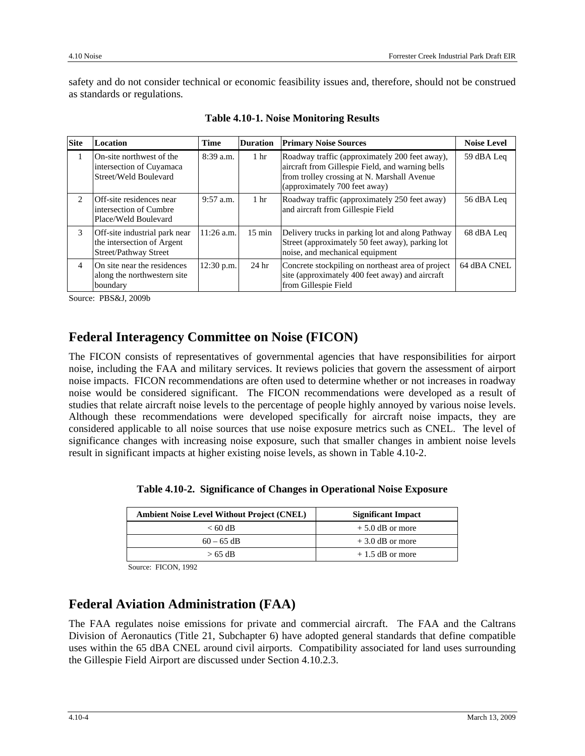safety and do not consider technical or economic feasibility issues and, therefore, should not be construed as standards or regulations.

| <b>Site</b>                   | <b>Location</b>                                                                      | <b>Time</b>  | <b>Duration</b>  | <b>Primary Noise Sources</b>                                                                                                                                                       | <b>Noise Level</b> |
|-------------------------------|--------------------------------------------------------------------------------------|--------------|------------------|------------------------------------------------------------------------------------------------------------------------------------------------------------------------------------|--------------------|
| 1                             | On-site northwest of the<br>intersection of Cuyamaca<br>Street/Weld Boulevard        | $8:39$ a.m.  | 1 <sub>hr</sub>  | Roadway traffic (approximately 200 feet away),<br>aircraft from Gillespie Field, and warning bells<br>from trolley crossing at N. Marshall Avenue<br>(approximately 700 feet away) | 59 dBA Leq         |
| $\mathfrak{D}_{\mathfrak{p}}$ | Off-site residences near<br>intersection of Cumbre<br>Place/Weld Boulevard           | $9:57$ a.m.  | 1 <sub>hr</sub>  | Roadway traffic (approximately 250 feet away)<br>and aircraft from Gillespie Field                                                                                                 | 56 dBA Leq         |
| 3                             | Off-site industrial park near<br>the intersection of Argent<br>Street/Pathway Street | $11:26$ a.m. | $15 \text{ min}$ | Delivery trucks in parking lot and along Pathway<br>Street (approximately 50 feet away), parking lot<br>noise, and mechanical equipment                                            | 68 dBA Leq         |
| $\overline{4}$                | On site near the residences<br>along the northwestern site.<br>boundary              | $12:30$ p.m. | 24 <sub>hr</sub> | Concrete stockpiling on northeast area of project<br>site (approximately 400 feet away) and aircraft<br>from Gillespie Field                                                       | 64 dBA CNEL        |

Source: PBS&J, 2009b

## **Federal Interagency Committee on Noise (FICON)**

The FICON consists of representatives of governmental agencies that have responsibilities for airport noise, including the FAA and military services. It reviews policies that govern the assessment of airport noise impacts. FICON recommendations are often used to determine whether or not increases in roadway noise would be considered significant. The FICON recommendations were developed as a result of studies that relate aircraft noise levels to the percentage of people highly annoyed by various noise levels. Although these recommendations were developed specifically for aircraft noise impacts, they are considered applicable to all noise sources that use noise exposure metrics such as CNEL. The level of significance changes with increasing noise exposure, such that smaller changes in ambient noise levels result in significant impacts at higher existing noise levels, as shown in Table 4.10-2.

| <b>Ambient Noise Level Without Project (CNEL)</b> | <b>Significant Impact</b> |
|---------------------------------------------------|---------------------------|
| $< 60 \text{ dB}$                                 | $+5.0$ dB or more         |

 $60 - 65$  dB  $+ 3.0$  dB or more  $> 65$  dB  $+ 1.5$  dB or more

**Table 4.10-2. Significance of Changes in Operational Noise Exposure** 

Source: FICON, 1992

## **Federal Aviation Administration (FAA)**

The FAA regulates noise emissions for private and commercial aircraft. The FAA and the Caltrans Division of Aeronautics (Title 21, Subchapter 6) have adopted general standards that define compatible uses within the 65 dBA CNEL around civil airports. Compatibility associated for land uses surrounding the Gillespie Field Airport are discussed under Section 4.10.2.3.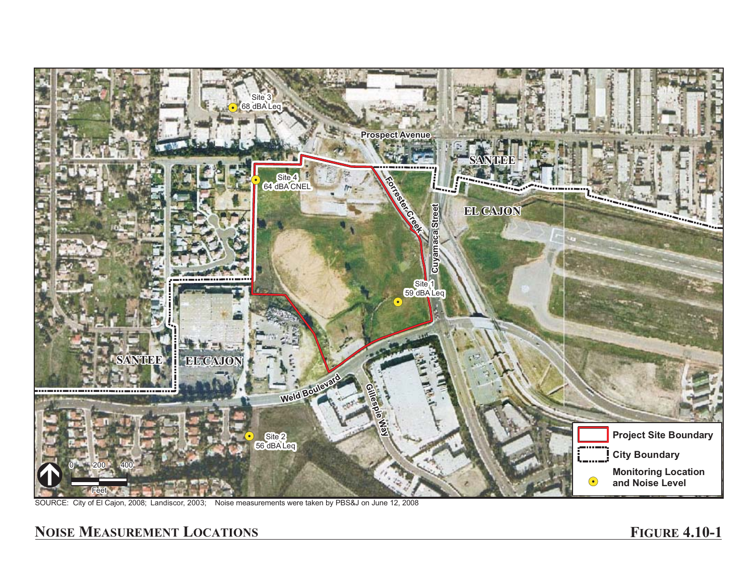

SOURCE: City of El Cajon, 2008; Landiscor, 2003; Noise measurements were taken by PBS&J on June 12, 2008

## **NOISE MEASUREMENT LOCATIONS FIGURE**

## **FIGURE 4.10-1**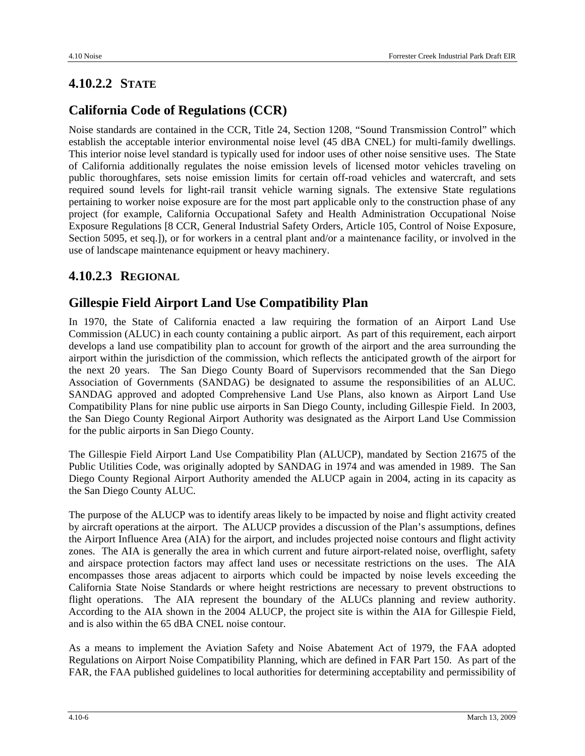## **4.10.2.2 STATE**

## **California Code of Regulations (CCR)**

Noise standards are contained in the CCR, Title 24, Section 1208, "Sound Transmission Control" which establish the acceptable interior environmental noise level (45 dBA CNEL) for multi-family dwellings. This interior noise level standard is typically used for indoor uses of other noise sensitive uses. The State of California additionally regulates the noise emission levels of licensed motor vehicles traveling on public thoroughfares, sets noise emission limits for certain off-road vehicles and watercraft, and sets required sound levels for light-rail transit vehicle warning signals. The extensive State regulations pertaining to worker noise exposure are for the most part applicable only to the construction phase of any project (for example, California Occupational Safety and Health Administration Occupational Noise Exposure Regulations [8 CCR, General Industrial Safety Orders, Article 105, Control of Noise Exposure, Section 5095, et seq.]), or for workers in a central plant and/or a maintenance facility, or involved in the use of landscape maintenance equipment or heavy machinery.

## **4.10.2.3 REGIONAL**

## **Gillespie Field Airport Land Use Compatibility Plan**

In 1970, the State of California enacted a law requiring the formation of an Airport Land Use Commission (ALUC) in each county containing a public airport. As part of this requirement, each airport develops a land use compatibility plan to account for growth of the airport and the area surrounding the airport within the jurisdiction of the commission, which reflects the anticipated growth of the airport for the next 20 years. The San Diego County Board of Supervisors recommended that the San Diego Association of Governments (SANDAG) be designated to assume the responsibilities of an ALUC. SANDAG approved and adopted Comprehensive Land Use Plans, also known as Airport Land Use Compatibility Plans for nine public use airports in San Diego County, including Gillespie Field. In 2003, the San Diego County Regional Airport Authority was designated as the Airport Land Use Commission for the public airports in San Diego County.

The Gillespie Field Airport Land Use Compatibility Plan (ALUCP), mandated by Section 21675 of the Public Utilities Code, was originally adopted by SANDAG in 1974 and was amended in 1989. The San Diego County Regional Airport Authority amended the ALUCP again in 2004, acting in its capacity as the San Diego County ALUC.

The purpose of the ALUCP was to identify areas likely to be impacted by noise and flight activity created by aircraft operations at the airport. The ALUCP provides a discussion of the Plan's assumptions, defines the Airport Influence Area (AIA) for the airport, and includes projected noise contours and flight activity zones. The AIA is generally the area in which current and future airport-related noise, overflight, safety and airspace protection factors may affect land uses or necessitate restrictions on the uses. The AIA encompasses those areas adjacent to airports which could be impacted by noise levels exceeding the California State Noise Standards or where height restrictions are necessary to prevent obstructions to flight operations. The AIA represent the boundary of the ALUCs planning and review authority. According to the AIA shown in the 2004 ALUCP, the project site is within the AIA for Gillespie Field, and is also within the 65 dBA CNEL noise contour.

As a means to implement the Aviation Safety and Noise Abatement Act of 1979, the FAA adopted Regulations on Airport Noise Compatibility Planning, which are defined in FAR Part 150. As part of the FAR, the FAA published guidelines to local authorities for determining acceptability and permissibility of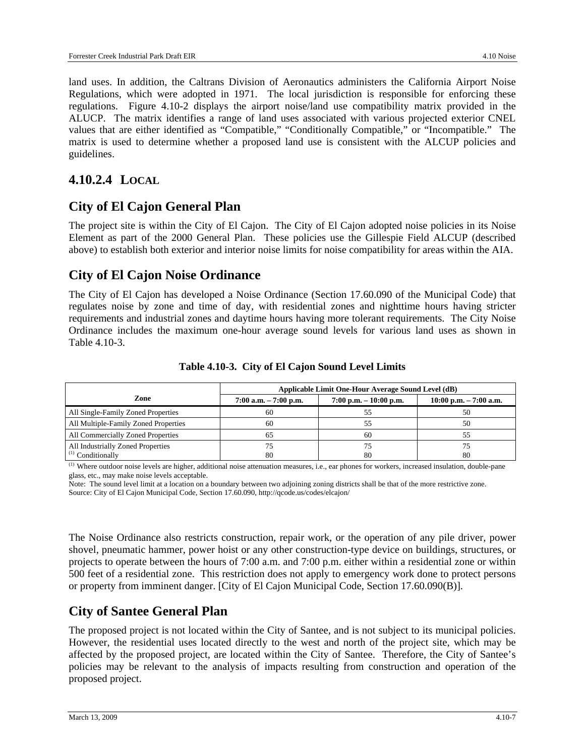land uses. In addition, the Caltrans Division of Aeronautics administers the California Airport Noise Regulations, which were adopted in 1971. The local jurisdiction is responsible for enforcing these regulations. Figure 4.10-2 displays the airport noise/land use compatibility matrix provided in the ALUCP. The matrix identifies a range of land uses associated with various projected exterior CNEL values that are either identified as "Compatible," "Conditionally Compatible," or "Incompatible." The matrix is used to determine whether a proposed land use is consistent with the ALCUP policies and guidelines.

## **4.10.2.4 LOCAL**

## **City of El Cajon General Plan**

The project site is within the City of El Cajon. The City of El Cajon adopted noise policies in its Noise Element as part of the 2000 General Plan. These policies use the Gillespie Field ALCUP (described above) to establish both exterior and interior noise limits for noise compatibility for areas within the AIA.

## **City of El Cajon Noise Ordinance**

The City of El Cajon has developed a Noise Ordinance (Section 17.60.090 of the Municipal Code) that regulates noise by zone and time of day, with residential zones and nighttime hours having stricter requirements and industrial zones and daytime hours having more tolerant requirements. The City Noise Ordinance includes the maximum one-hour average sound levels for various land uses as shown in Table 4.10-3.

|                                      | Applicable Limit One-Hour Average Sound Level (dB) |                           |                           |  |
|--------------------------------------|----------------------------------------------------|---------------------------|---------------------------|--|
| Zone                                 | $7:00$ a.m. $-7:00$ p.m.                           | $7:00$ p.m. $-10:00$ p.m. | $10:00$ p.m. $-7:00$ a.m. |  |
| All Single-Family Zoned Properties   | 60                                                 |                           | 50                        |  |
| All Multiple-Family Zoned Properties | 60                                                 | ל ל                       | 50                        |  |
| All Commercially Zoned Properties    |                                                    | 60                        |                           |  |
| All Industrially Zoned Properties    |                                                    |                           |                           |  |
| $^{(1)}$ Conditionally               | 80                                                 | 80                        | 80                        |  |

**Table 4.10-3. City of El Cajon Sound Level Limits** 

(1) Where outdoor noise levels are higher, additional noise attenuation measures, i.e., ear phones for workers, increased insulation, double-pane glass, etc., may make noise levels acceptable.

Note: The sound level limit at a location on a boundary between two adjoining zoning districts shall be that of the more restrictive zone. Source: City of El Cajon Municipal Code, Section 17.60.090, http://qcode.us/codes/elcajon/

The Noise Ordinance also restricts construction, repair work, or the operation of any pile driver, power shovel, pneumatic hammer, power hoist or any other construction-type device on buildings, structures, or projects to operate between the hours of 7:00 a.m. and 7:00 p.m. either within a residential zone or within 500 feet of a residential zone. This restriction does not apply to emergency work done to protect persons or property from imminent danger. [City of El Cajon Municipal Code, Section 17.60.090(B)].

## **City of Santee General Plan**

The proposed project is not located within the City of Santee, and is not subject to its municipal policies. However, the residential uses located directly to the west and north of the project site, which may be affected by the proposed project, are located within the City of Santee. Therefore, the City of Santee's policies may be relevant to the analysis of impacts resulting from construction and operation of the proposed project.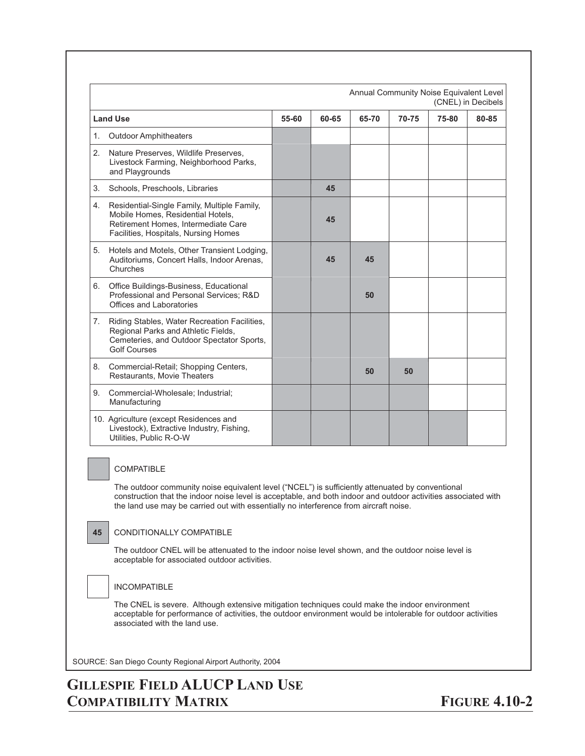|    |                                                                                                                                                                 |       |       | Annual Community Noise Equivalent Level |       | (CNEL) in Decibels |       |
|----|-----------------------------------------------------------------------------------------------------------------------------------------------------------------|-------|-------|-----------------------------------------|-------|--------------------|-------|
|    | <b>Land Use</b>                                                                                                                                                 | 55-60 | 60-65 | 65-70                                   | 70-75 | 75-80              | 80-85 |
| 1. | <b>Outdoor Amphitheaters</b>                                                                                                                                    |       |       |                                         |       |                    |       |
| 2. | Nature Preserves, Wildlife Preserves,<br>Livestock Farming, Neighborhood Parks,<br>and Playgrounds                                                              |       |       |                                         |       |                    |       |
| 3. | Schools, Preschools, Libraries                                                                                                                                  |       | 45    |                                         |       |                    |       |
| 4. | Residential-Single Family, Multiple Family,<br>Mobile Homes, Residential Hotels,<br>Retirement Homes, Intermediate Care<br>Facilities, Hospitals, Nursing Homes |       | 45    |                                         |       |                    |       |
| 5. | Hotels and Motels, Other Transient Lodging,<br>Auditoriums, Concert Halls, Indoor Arenas,<br>Churches                                                           |       | 45    | 45                                      |       |                    |       |
| 6. | Office Buildings-Business, Educational<br>Professional and Personal Services: R&D<br>Offices and Laboratories                                                   |       |       | 50                                      |       |                    |       |
| 7. | Riding Stables, Water Recreation Facilities,<br>Regional Parks and Athletic Fields,<br>Cemeteries, and Outdoor Spectator Sports,<br><b>Golf Courses</b>         |       |       |                                         |       |                    |       |
| 8. | Commercial-Retail; Shopping Centers,<br>Restaurants, Movie Theaters                                                                                             |       |       | 50                                      | 50    |                    |       |
| 9. | Commercial-Wholesale; Industrial;<br>Manufacturing                                                                                                              |       |       |                                         |       |                    |       |
|    | 10. Agriculture (except Residences and<br>Livestock), Extractive Industry, Fishing,<br>Utilities, Public R-O-W                                                  |       |       |                                         |       |                    |       |

#### COMPATIBLE

The outdoor community noise equivalent level ("NCEL") is sufficiently attenuated by conventional construction that the indoor noise level is acceptable, and both indoor and outdoor activities associated with the land use may be carried out with essentially no interference from aircraft noise.

#### **45** CONDITIONALLY COMPATIBLE

The outdoor CNEL will be attenuated to the indoor noise level shown, and the outdoor noise level is acceptable for associated outdoor activities.

#### INCOMPATIBLE

The CNEL is severe. Although extensive mitigation techniques could make the indoor environment acceptable for performance of activities, the outdoor environment would be intolerable for outdoor activities associated with the land use.

SOURCE: San Diego County Regional Airport Authority, 2004

## **GILLESPIE FIELD ALUCP LAND USE COMPATIBILITY MATRIX**

**FIGURE 4.10-2**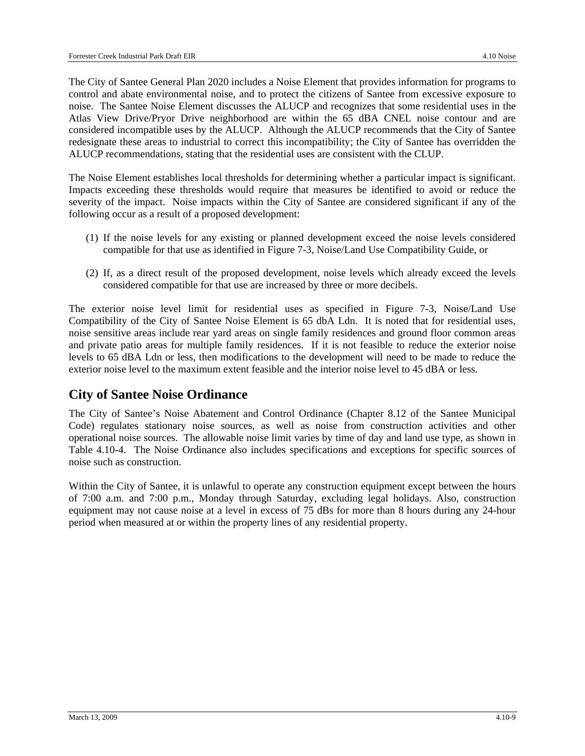The City of Santee General Plan 2020 includes a Noise Element that provides information for programs to control and abate environmental noise, and to protect the citizens of Santee from excessive exposure to noise. The Santee Noise Element discusses the ALUCP and recognizes that some residential uses in the Atlas View Drive/Pryor Drive neighborhood are within the 65 dBA CNEL noise contour and are considered incompatible uses by the ALUCP. Although the ALUCP recommends that the City of Santee redesignate these areas to industrial to correct this incompatibility; the City of Santee has overridden the ALUCP recommendations, stating that the residential uses are consistent with the CLUP.

The Noise Element establishes local thresholds for determining whether a particular impact is significant. Impacts exceeding these thresholds would require that measures be identified to avoid or reduce the severity of the impact. Noise impacts within the City of Santee are considered significant if any of the following occur as a result of a proposed development:

- (1) If the noise levels for any existing or planned development exceed the noise levels considered compatible for that use as identified in Figure 7-3, Noise/Land Use Compatibility Guide, or
- (2) If, as a direct result of the proposed development, noise levels which already exceed the levels considered compatible for that use are increased by three or more decibels.

The exterior noise level limit for residential uses as specified in Figure 7-3, Noise/Land Use Compatibility of the City of Santee Noise Element is 65 dbA Ldn. It is noted that for residential uses, noise sensitive areas include rear yard areas on single family residences and ground floor common areas and private patio areas for multiple family residences. If it is not feasible to reduce the exterior noise levels to 65 dBA Ldn or less, then modifications to the development will need to be made to reduce the exterior noise level to the maximum extent feasible and the interior noise level to 45 dBA or less.

## **City of Santee Noise Ordinance**

The City of Santee's Noise Abatement and Control Ordinance (Chapter 8.12 of the Santee Municipal Code) regulates stationary noise sources, as well as noise from construction activities and other operational noise sources. The allowable noise limit varies by time of day and land use type, as shown in Table 4.10-4. The Noise Ordinance also includes specifications and exceptions for specific sources of noise such as construction.

Within the City of Santee, it is unlawful to operate any construction equipment except between the hours of 7:00 a.m. and 7:00 p.m., Monday through Saturday, excluding legal holidays. Also, construction equipment may not cause noise at a level in excess of 75 dBs for more than 8 hours during any 24-hour period when measured at or within the property lines of any residential property.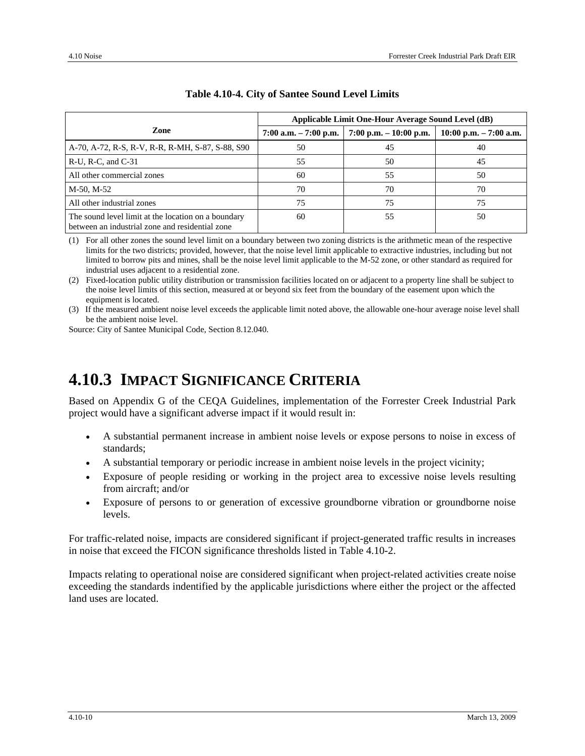|                                                                                                        | Applicable Limit One-Hour Average Sound Level (dB) |                           |                            |  |  |
|--------------------------------------------------------------------------------------------------------|----------------------------------------------------|---------------------------|----------------------------|--|--|
| Zone                                                                                                   | $7:00$ a.m. $-7:00$ p.m.                           | $7:00$ p.m. $-10:00$ p.m. | $10:00$ p.m. $- 7:00$ a.m. |  |  |
| A-70, A-72, R-S, R-V, R-R, R-MH, S-87, S-88, S90                                                       | 50                                                 | 45                        | 40                         |  |  |
| $R-U$ , $R-C$ , and $C-31$                                                                             | 55                                                 | 50                        | 45                         |  |  |
| All other commercial zones                                                                             | 60                                                 | 55                        | 50                         |  |  |
| M-50, M-52                                                                                             | 70                                                 | 70                        | 70                         |  |  |
| All other industrial zones                                                                             | 75                                                 | 75                        | 75                         |  |  |
| The sound level limit at the location on a boundary<br>between an industrial zone and residential zone | 60                                                 | 55                        | 50                         |  |  |

#### **Table 4.10-4. City of Santee Sound Level Limits**

(1) For all other zones the sound level limit on a boundary between two zoning districts is the arithmetic mean of the respective limits for the two districts; provided, however, that the noise level limit applicable to extractive industries, including but not limited to borrow pits and mines, shall be the noise level limit applicable to the M-52 zone, or other standard as required for industrial uses adjacent to a residential zone.

(2) Fixed-location public utility distribution or transmission facilities located on or adjacent to a property line shall be subject to the noise level limits of this section, measured at or beyond six feet from the boundary of the easement upon which the equipment is located.

(3) If the measured ambient noise level exceeds the applicable limit noted above, the allowable one-hour average noise level shall be the ambient noise level.

Source: City of Santee Municipal Code, Section 8.12.040.

## **4.10.3 IMPACT SIGNIFICANCE CRITERIA**

Based on Appendix G of the CEQA Guidelines, implementation of the Forrester Creek Industrial Park project would have a significant adverse impact if it would result in:

- A substantial permanent increase in ambient noise levels or expose persons to noise in excess of standards;
- A substantial temporary or periodic increase in ambient noise levels in the project vicinity;
- Exposure of people residing or working in the project area to excessive noise levels resulting from aircraft; and/or
- Exposure of persons to or generation of excessive groundborne vibration or groundborne noise levels.

For traffic-related noise, impacts are considered significant if project-generated traffic results in increases in noise that exceed the FICON significance thresholds listed in Table 4.10-2.

Impacts relating to operational noise are considered significant when project-related activities create noise exceeding the standards indentified by the applicable jurisdictions where either the project or the affected land uses are located.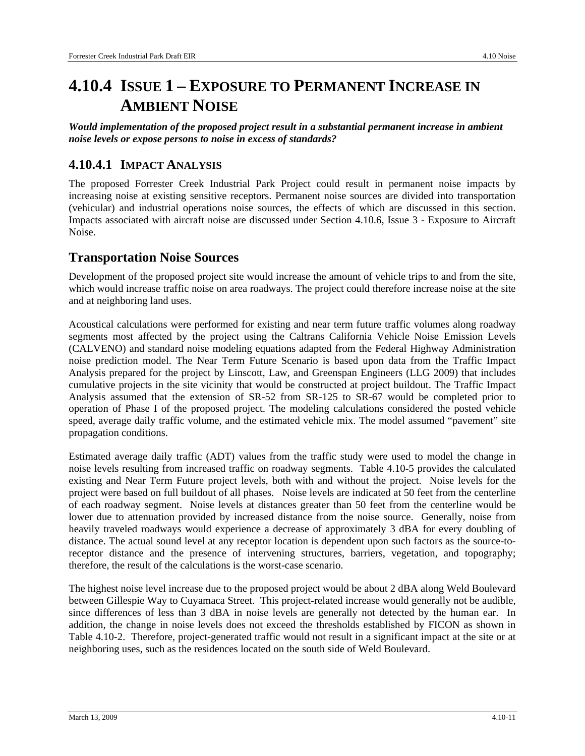## **4.10.4 ISSUE 1 – EXPOSURE TO PERMANENT INCREASE IN AMBIENT NOISE**

*Would implementation of the proposed project result in a substantial permanent increase in ambient noise levels or expose persons to noise in excess of standards?* 

## **4.10.4.1 IMPACT ANALYSIS**

The proposed Forrester Creek Industrial Park Project could result in permanent noise impacts by increasing noise at existing sensitive receptors. Permanent noise sources are divided into transportation (vehicular) and industrial operations noise sources, the effects of which are discussed in this section. Impacts associated with aircraft noise are discussed under Section 4.10.6, Issue 3 - Exposure to Aircraft Noise.

## **Transportation Noise Sources**

Development of the proposed project site would increase the amount of vehicle trips to and from the site, which would increase traffic noise on area roadways. The project could therefore increase noise at the site and at neighboring land uses.

Acoustical calculations were performed for existing and near term future traffic volumes along roadway segments most affected by the project using the Caltrans California Vehicle Noise Emission Levels (CALVENO) and standard noise modeling equations adapted from the Federal Highway Administration noise prediction model. The Near Term Future Scenario is based upon data from the Traffic Impact Analysis prepared for the project by Linscott, Law, and Greenspan Engineers (LLG 2009) that includes cumulative projects in the site vicinity that would be constructed at project buildout. The Traffic Impact Analysis assumed that the extension of SR-52 from SR-125 to SR-67 would be completed prior to operation of Phase I of the proposed project. The modeling calculations considered the posted vehicle speed, average daily traffic volume, and the estimated vehicle mix. The model assumed "pavement" site propagation conditions.

Estimated average daily traffic (ADT) values from the traffic study were used to model the change in noise levels resulting from increased traffic on roadway segments. Table 4.10-5 provides the calculated existing and Near Term Future project levels, both with and without the project. Noise levels for the project were based on full buildout of all phases. Noise levels are indicated at 50 feet from the centerline of each roadway segment. Noise levels at distances greater than 50 feet from the centerline would be lower due to attenuation provided by increased distance from the noise source. Generally, noise from heavily traveled roadways would experience a decrease of approximately 3 dBA for every doubling of distance. The actual sound level at any receptor location is dependent upon such factors as the source-toreceptor distance and the presence of intervening structures, barriers, vegetation, and topography; therefore, the result of the calculations is the worst-case scenario.

The highest noise level increase due to the proposed project would be about 2 dBA along Weld Boulevard between Gillespie Way to Cuyamaca Street. This project-related increase would generally not be audible, since differences of less than 3 dBA in noise levels are generally not detected by the human ear. In addition, the change in noise levels does not exceed the thresholds established by FICON as shown in Table 4.10-2. Therefore, project-generated traffic would not result in a significant impact at the site or at neighboring uses, such as the residences located on the south side of Weld Boulevard.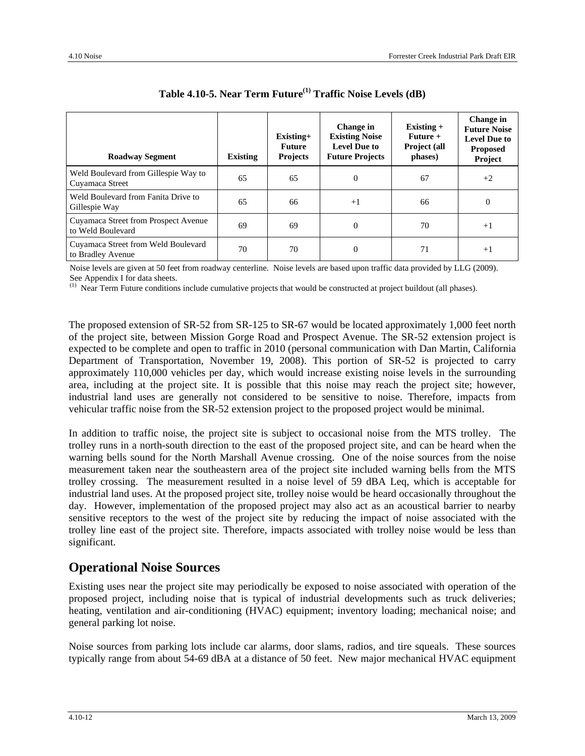| <b>Roadway Segment</b>                                    | <b>Existing</b> | $Existing+$<br>Future<br><b>Projects</b> | Change in<br><b>Existing Noise</b><br><b>Level Due to</b><br><b>Future Projects</b> | Existing $+$<br>$Future +$<br>Project (all<br>phases) | Change in<br><b>Future Noise</b><br><b>Level Due to</b><br><b>Proposed</b><br>Project |
|-----------------------------------------------------------|-----------------|------------------------------------------|-------------------------------------------------------------------------------------|-------------------------------------------------------|---------------------------------------------------------------------------------------|
| Weld Boulevard from Gillespie Way to<br>Cuyamaca Street   | 65              | 65                                       | $\Omega$                                                                            | 67                                                    | $+2$                                                                                  |
| Weld Boulevard from Fanita Drive to<br>Gillespie Way      | 65              | 66                                       | $+1$                                                                                | 66                                                    | $\mathbf{0}$                                                                          |
| Cuyamaca Street from Prospect Avenue<br>to Weld Boulevard | 69              | 69                                       | $\Omega$                                                                            | 70                                                    | $+1$                                                                                  |
| Cuyamaca Street from Weld Boulevard<br>to Bradley Avenue  | 70              | 70                                       | $\Omega$                                                                            | 71                                                    | $+1$                                                                                  |

| Table 4.10-5. Near Term Future <sup>(1)</sup> Traffic Noise Levels (dB) |  |
|-------------------------------------------------------------------------|--|
|-------------------------------------------------------------------------|--|

Noise levels are given at 50 feet from roadway centerline. Noise levels are based upon traffic data provided by LLG (2009). See Appendix I for data sheets.

 $<sup>(1)</sup>$  Near Term Future conditions include cumulative projects that would be constructed at project buildout (all phases).</sup>

The proposed extension of SR-52 from SR-125 to SR-67 would be located approximately 1,000 feet north of the project site, between Mission Gorge Road and Prospect Avenue. The SR-52 extension project is expected to be complete and open to traffic in 2010 (personal communication with Dan Martin, California Department of Transportation, November 19, 2008). This portion of SR-52 is projected to carry approximately 110,000 vehicles per day, which would increase existing noise levels in the surrounding area, including at the project site. It is possible that this noise may reach the project site; however, industrial land uses are generally not considered to be sensitive to noise. Therefore, impacts from vehicular traffic noise from the SR-52 extension project to the proposed project would be minimal.

In addition to traffic noise, the project site is subject to occasional noise from the MTS trolley. The trolley runs in a north-south direction to the east of the proposed project site, and can be heard when the warning bells sound for the North Marshall Avenue crossing. One of the noise sources from the noise measurement taken near the southeastern area of the project site included warning bells from the MTS trolley crossing. The measurement resulted in a noise level of 59 dBA Leq, which is acceptable for industrial land uses. At the proposed project site, trolley noise would be heard occasionally throughout the day. However, implementation of the proposed project may also act as an acoustical barrier to nearby sensitive receptors to the west of the project site by reducing the impact of noise associated with the trolley line east of the project site. Therefore, impacts associated with trolley noise would be less than significant.

#### **Operational Noise Sources**

Existing uses near the project site may periodically be exposed to noise associated with operation of the proposed project, including noise that is typical of industrial developments such as truck deliveries; heating, ventilation and air-conditioning (HVAC) equipment; inventory loading; mechanical noise; and general parking lot noise.

Noise sources from parking lots include car alarms, door slams, radios, and tire squeals. These sources typically range from about 54-69 dBA at a distance of 50 feet. New major mechanical HVAC equipment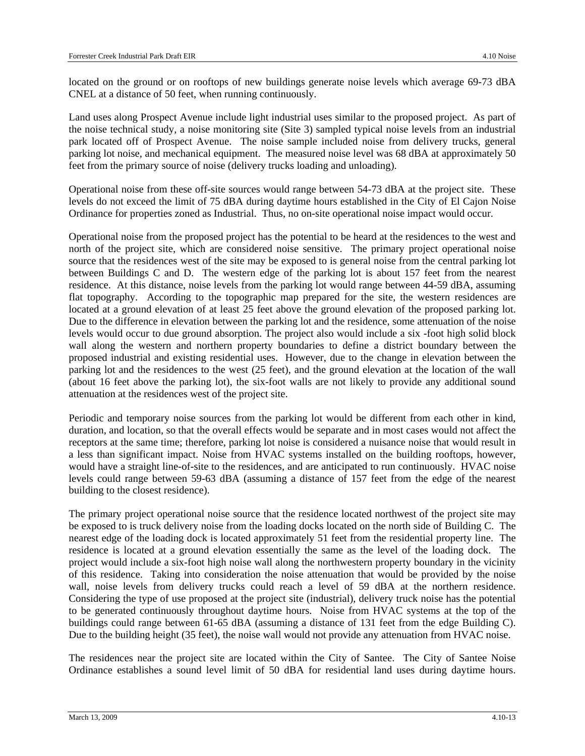located on the ground or on rooftops of new buildings generate noise levels which average 69-73 dBA CNEL at a distance of 50 feet, when running continuously.

Land uses along Prospect Avenue include light industrial uses similar to the proposed project. As part of the noise technical study, a noise monitoring site (Site 3) sampled typical noise levels from an industrial park located off of Prospect Avenue. The noise sample included noise from delivery trucks, general parking lot noise, and mechanical equipment. The measured noise level was 68 dBA at approximately 50 feet from the primary source of noise (delivery trucks loading and unloading).

Operational noise from these off-site sources would range between 54-73 dBA at the project site. These levels do not exceed the limit of 75 dBA during daytime hours established in the City of El Cajon Noise Ordinance for properties zoned as Industrial. Thus, no on-site operational noise impact would occur.

Operational noise from the proposed project has the potential to be heard at the residences to the west and north of the project site, which are considered noise sensitive. The primary project operational noise source that the residences west of the site may be exposed to is general noise from the central parking lot between Buildings C and D. The western edge of the parking lot is about 157 feet from the nearest residence. At this distance, noise levels from the parking lot would range between 44-59 dBA, assuming flat topography. According to the topographic map prepared for the site, the western residences are located at a ground elevation of at least 25 feet above the ground elevation of the proposed parking lot. Due to the difference in elevation between the parking lot and the residence, some attenuation of the noise levels would occur to due ground absorption. The project also would include a six -foot high solid block wall along the western and northern property boundaries to define a district boundary between the proposed industrial and existing residential uses. However, due to the change in elevation between the parking lot and the residences to the west (25 feet), and the ground elevation at the location of the wall (about 16 feet above the parking lot), the six-foot walls are not likely to provide any additional sound attenuation at the residences west of the project site.

Periodic and temporary noise sources from the parking lot would be different from each other in kind, duration, and location, so that the overall effects would be separate and in most cases would not affect the receptors at the same time; therefore, parking lot noise is considered a nuisance noise that would result in a less than significant impact. Noise from HVAC systems installed on the building rooftops, however, would have a straight line-of-site to the residences, and are anticipated to run continuously. HVAC noise levels could range between 59-63 dBA (assuming a distance of 157 feet from the edge of the nearest building to the closest residence).

The primary project operational noise source that the residence located northwest of the project site may be exposed to is truck delivery noise from the loading docks located on the north side of Building C. The nearest edge of the loading dock is located approximately 51 feet from the residential property line. The residence is located at a ground elevation essentially the same as the level of the loading dock. The project would include a six-foot high noise wall along the northwestern property boundary in the vicinity of this residence. Taking into consideration the noise attenuation that would be provided by the noise wall, noise levels from delivery trucks could reach a level of 59 dBA at the northern residence. Considering the type of use proposed at the project site (industrial), delivery truck noise has the potential to be generated continuously throughout daytime hours. Noise from HVAC systems at the top of the buildings could range between 61-65 dBA (assuming a distance of 131 feet from the edge Building C). Due to the building height (35 feet), the noise wall would not provide any attenuation from HVAC noise.

The residences near the project site are located within the City of Santee. The City of Santee Noise Ordinance establishes a sound level limit of 50 dBA for residential land uses during daytime hours.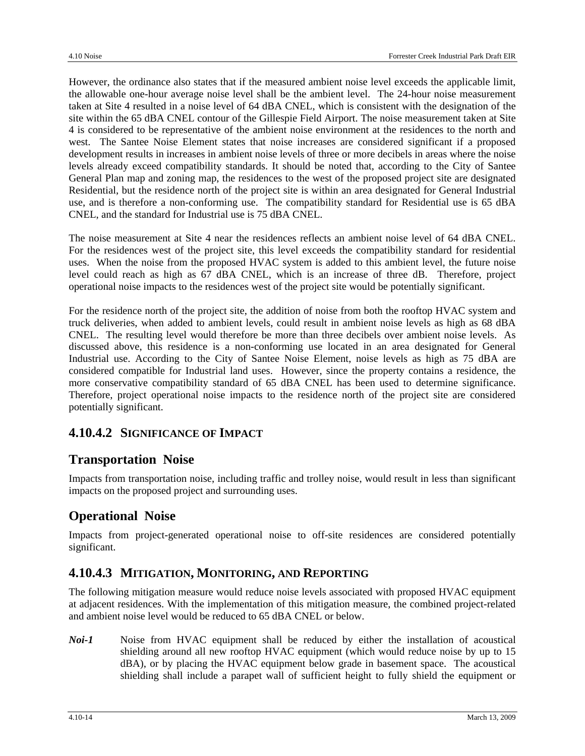However, the ordinance also states that if the measured ambient noise level exceeds the applicable limit, the allowable one-hour average noise level shall be the ambient level. The 24-hour noise measurement taken at Site 4 resulted in a noise level of 64 dBA CNEL, which is consistent with the designation of the site within the 65 dBA CNEL contour of the Gillespie Field Airport. The noise measurement taken at Site 4 is considered to be representative of the ambient noise environment at the residences to the north and west. The Santee Noise Element states that noise increases are considered significant if a proposed development results in increases in ambient noise levels of three or more decibels in areas where the noise levels already exceed compatibility standards. It should be noted that, according to the City of Santee General Plan map and zoning map, the residences to the west of the proposed project site are designated Residential, but the residence north of the project site is within an area designated for General Industrial use, and is therefore a non-conforming use. The compatibility standard for Residential use is 65 dBA CNEL, and the standard for Industrial use is 75 dBA CNEL.

The noise measurement at Site 4 near the residences reflects an ambient noise level of 64 dBA CNEL. For the residences west of the project site, this level exceeds the compatibility standard for residential uses. When the noise from the proposed HVAC system is added to this ambient level, the future noise level could reach as high as 67 dBA CNEL, which is an increase of three dB. Therefore, project operational noise impacts to the residences west of the project site would be potentially significant.

For the residence north of the project site, the addition of noise from both the rooftop HVAC system and truck deliveries, when added to ambient levels, could result in ambient noise levels as high as 68 dBA CNEL. The resulting level would therefore be more than three decibels over ambient noise levels. As discussed above, this residence is a non-conforming use located in an area designated for General Industrial use. According to the City of Santee Noise Element, noise levels as high as 75 dBA are considered compatible for Industrial land uses. However, since the property contains a residence, the more conservative compatibility standard of 65 dBA CNEL has been used to determine significance. Therefore, project operational noise impacts to the residence north of the project site are considered potentially significant.

## **4.10.4.2 SIGNIFICANCE OF IMPACT**

## **Transportation Noise**

Impacts from transportation noise, including traffic and trolley noise, would result in less than significant impacts on the proposed project and surrounding uses.

## **Operational Noise**

Impacts from project-generated operational noise to off-site residences are considered potentially significant.

## **4.10.4.3 MITIGATION, MONITORING, AND REPORTING**

The following mitigation measure would reduce noise levels associated with proposed HVAC equipment at adjacent residences. With the implementation of this mitigation measure, the combined project-related and ambient noise level would be reduced to 65 dBA CNEL or below.

*Noi-1* Noise from HVAC equipment shall be reduced by either the installation of acoustical shielding around all new rooftop HVAC equipment (which would reduce noise by up to 15 dBA), or by placing the HVAC equipment below grade in basement space. The acoustical shielding shall include a parapet wall of sufficient height to fully shield the equipment or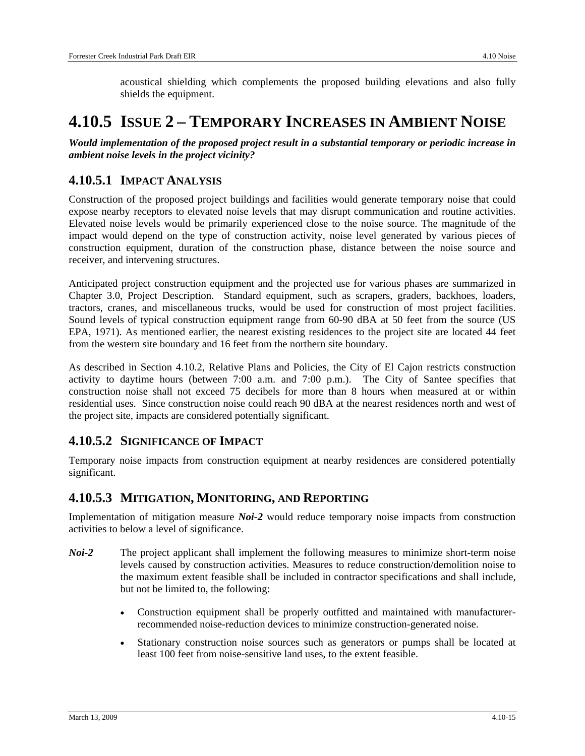acoustical shielding which complements the proposed building elevations and also fully shields the equipment.

## **4.10.5 ISSUE 2 – TEMPORARY INCREASES IN AMBIENT NOISE**

*Would implementation of the proposed project result in a substantial temporary or periodic increase in ambient noise levels in the project vicinity?* 

## **4.10.5.1 IMPACT ANALYSIS**

Construction of the proposed project buildings and facilities would generate temporary noise that could expose nearby receptors to elevated noise levels that may disrupt communication and routine activities. Elevated noise levels would be primarily experienced close to the noise source. The magnitude of the impact would depend on the type of construction activity, noise level generated by various pieces of construction equipment, duration of the construction phase, distance between the noise source and receiver, and intervening structures.

Anticipated project construction equipment and the projected use for various phases are summarized in Chapter 3.0, Project Description. Standard equipment, such as scrapers, graders, backhoes, loaders, tractors, cranes, and miscellaneous trucks, would be used for construction of most project facilities. Sound levels of typical construction equipment range from 60-90 dBA at 50 feet from the source (US EPA, 1971). As mentioned earlier, the nearest existing residences to the project site are located 44 feet from the western site boundary and 16 feet from the northern site boundary.

As described in Section 4.10.2, Relative Plans and Policies, the City of El Cajon restricts construction activity to daytime hours (between 7:00 a.m. and 7:00 p.m.). The City of Santee specifies that construction noise shall not exceed 75 decibels for more than 8 hours when measured at or within residential uses. Since construction noise could reach 90 dBA at the nearest residences north and west of the project site, impacts are considered potentially significant.

## **4.10.5.2 SIGNIFICANCE OF IMPACT**

Temporary noise impacts from construction equipment at nearby residences are considered potentially significant.

## **4.10.5.3 MITIGATION, MONITORING, AND REPORTING**

Implementation of mitigation measure *Noi-2* would reduce temporary noise impacts from construction activities to below a level of significance.

- *Noi-2* The project applicant shall implement the following measures to minimize short-term noise levels caused by construction activities. Measures to reduce construction/demolition noise to the maximum extent feasible shall be included in contractor specifications and shall include, but not be limited to, the following:
	- Construction equipment shall be properly outfitted and maintained with manufacturerrecommended noise-reduction devices to minimize construction-generated noise.
	- Stationary construction noise sources such as generators or pumps shall be located at least 100 feet from noise-sensitive land uses, to the extent feasible.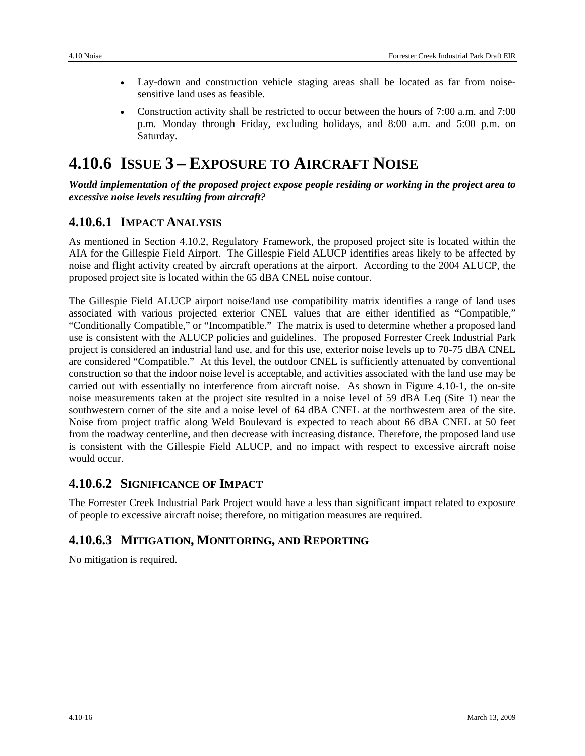- Lay-down and construction vehicle staging areas shall be located as far from noisesensitive land uses as feasible.
- Construction activity shall be restricted to occur between the hours of 7:00 a.m. and 7:00 p.m. Monday through Friday, excluding holidays, and 8:00 a.m. and 5:00 p.m. on Saturday.

## **4.10.6 ISSUE 3 – EXPOSURE TO AIRCRAFT NOISE**

*Would implementation of the proposed project expose people residing or working in the project area to excessive noise levels resulting from aircraft?* 

## **4.10.6.1 IMPACT ANALYSIS**

As mentioned in Section 4.10.2, Regulatory Framework, the proposed project site is located within the AIA for the Gillespie Field Airport. The Gillespie Field ALUCP identifies areas likely to be affected by noise and flight activity created by aircraft operations at the airport. According to the 2004 ALUCP, the proposed project site is located within the 65 dBA CNEL noise contour.

The Gillespie Field ALUCP airport noise/land use compatibility matrix identifies a range of land uses associated with various projected exterior CNEL values that are either identified as "Compatible," "Conditionally Compatible," or "Incompatible." The matrix is used to determine whether a proposed land use is consistent with the ALUCP policies and guidelines. The proposed Forrester Creek Industrial Park project is considered an industrial land use, and for this use, exterior noise levels up to 70-75 dBA CNEL are considered "Compatible." At this level, the outdoor CNEL is sufficiently attenuated by conventional construction so that the indoor noise level is acceptable, and activities associated with the land use may be carried out with essentially no interference from aircraft noise. As shown in Figure 4.10-1, the on-site noise measurements taken at the project site resulted in a noise level of 59 dBA Leq (Site 1) near the southwestern corner of the site and a noise level of 64 dBA CNEL at the northwestern area of the site. Noise from project traffic along Weld Boulevard is expected to reach about 66 dBA CNEL at 50 feet from the roadway centerline, and then decrease with increasing distance. Therefore, the proposed land use is consistent with the Gillespie Field ALUCP, and no impact with respect to excessive aircraft noise would occur.

## **4.10.6.2 SIGNIFICANCE OF IMPACT**

The Forrester Creek Industrial Park Project would have a less than significant impact related to exposure of people to excessive aircraft noise; therefore, no mitigation measures are required.

## **4.10.6.3 MITIGATION, MONITORING, AND REPORTING**

No mitigation is required.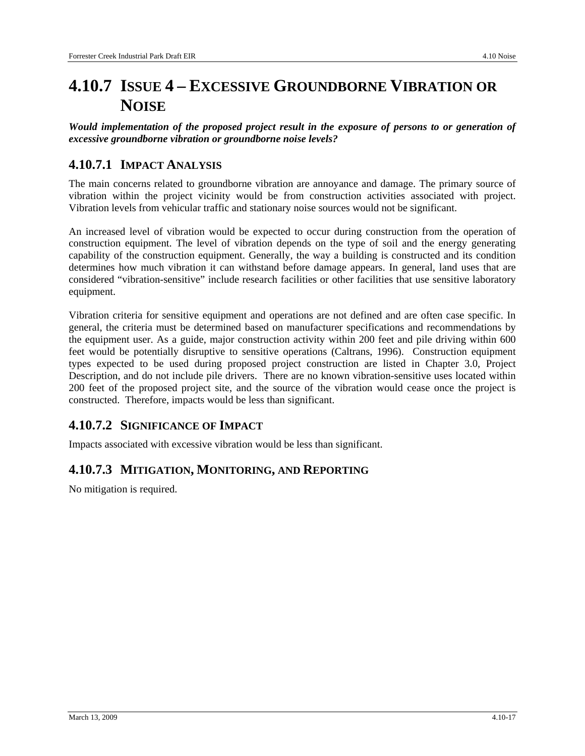## **4.10.7 ISSUE 4 – EXCESSIVE GROUNDBORNE VIBRATION OR NOISE**

*Would implementation of the proposed project result in the exposure of persons to or generation of excessive groundborne vibration or groundborne noise levels?* 

## **4.10.7.1 IMPACT ANALYSIS**

The main concerns related to groundborne vibration are annoyance and damage. The primary source of vibration within the project vicinity would be from construction activities associated with project. Vibration levels from vehicular traffic and stationary noise sources would not be significant.

An increased level of vibration would be expected to occur during construction from the operation of construction equipment. The level of vibration depends on the type of soil and the energy generating capability of the construction equipment. Generally, the way a building is constructed and its condition determines how much vibration it can withstand before damage appears. In general, land uses that are considered "vibration-sensitive" include research facilities or other facilities that use sensitive laboratory equipment.

Vibration criteria for sensitive equipment and operations are not defined and are often case specific. In general, the criteria must be determined based on manufacturer specifications and recommendations by the equipment user. As a guide, major construction activity within 200 feet and pile driving within 600 feet would be potentially disruptive to sensitive operations (Caltrans, 1996). Construction equipment types expected to be used during proposed project construction are listed in Chapter 3.0, Project Description, and do not include pile drivers. There are no known vibration-sensitive uses located within 200 feet of the proposed project site, and the source of the vibration would cease once the project is constructed. Therefore, impacts would be less than significant.

## **4.10.7.2 SIGNIFICANCE OF IMPACT**

Impacts associated with excessive vibration would be less than significant.

## **4.10.7.3 MITIGATION, MONITORING, AND REPORTING**

No mitigation is required.